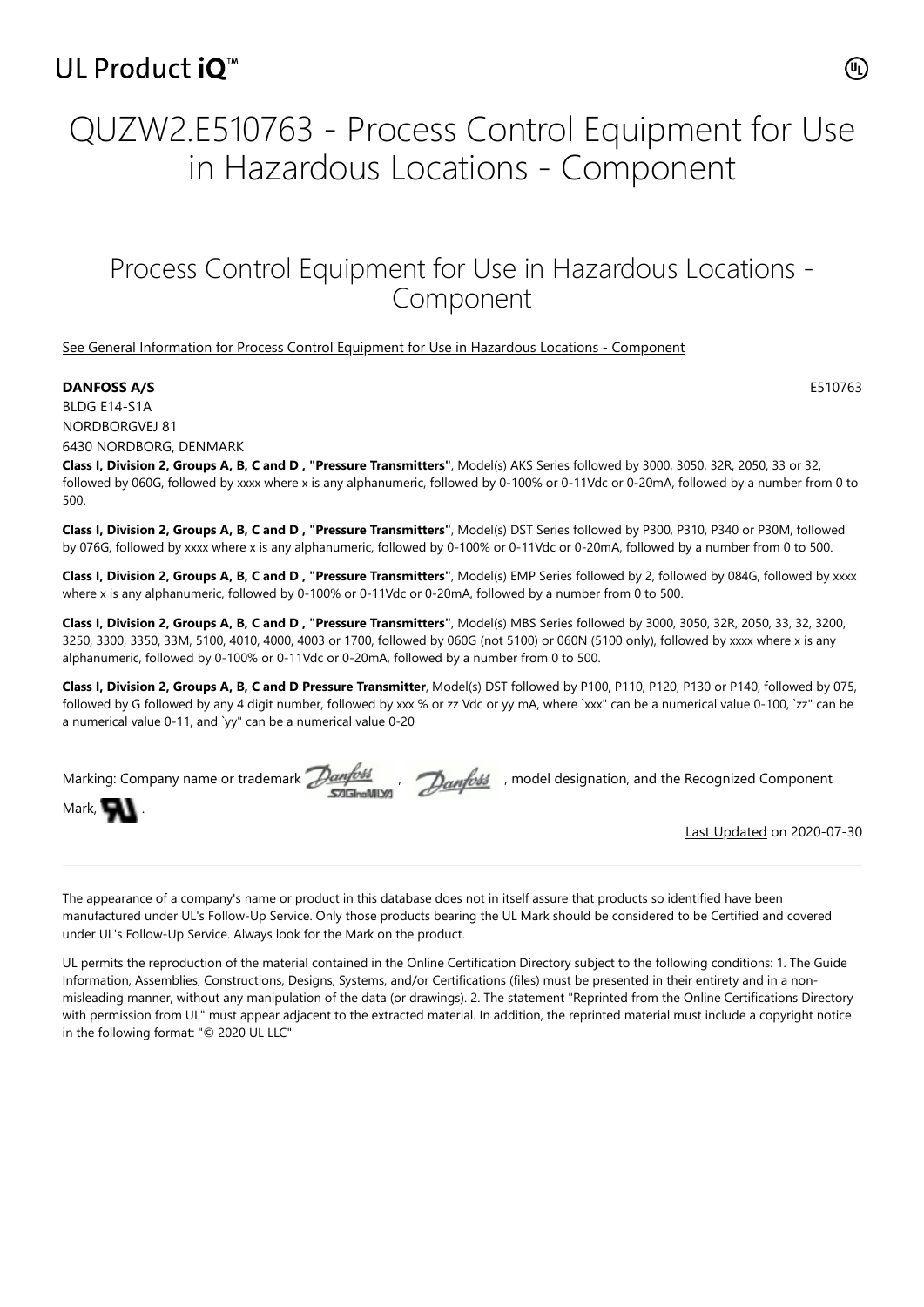## UL Product iQ<sup>™</sup>

# QUZW2.E510763 - Process Control Equipment for Use in Hazardous Locations - Component

### Process Control Equipment for Use in Hazardous Locations - Component

#### [See General Information for Process Control Equipment for Use in Hazardous Locations - Component](https://iq.ulprospector.com/cgi-bin/XYV/template/LISEXT/1FRAME/showpage.html?&name=QUZW2.GuideInfo&ccnshorttitle=Process+Control+Equipment+for+Use+in+Hazardous+Locations+-+Component&objid=1073793045&cfgid=1073741824&version=versionless&parent_id=1073793044&sequence=1)

#### **DANFOSS A/S** E510763

BLDG E14-S1A NORDBORGVEJ 81 6430 NORDBORG, DENMARK

**Class I, Division 2, Groups A, B, C and D , "Pressure Transmitters"**, Model(s) AKS Series followed by 3000, 3050, 32R, 2050, 33 or 32, followed by 060G, followed by xxxx where x is any alphanumeric, followed by 0-100% or 0-11Vdc or 0-20mA, followed by a number from 0 to 500.

**Class I, Division 2, Groups A, B, C and D , "Pressure Transmitters"**, Model(s) DST Series followed by P300, P310, P340 or P30M, followed by 076G, followed by xxxx where x is any alphanumeric, followed by 0-100% or 0-11Vdc or 0-20mA, followed by a number from 0 to 500.

**Class I, Division 2, Groups A, B, C and D , "Pressure Transmitters"**, Model(s) EMP Series followed by 2, followed by 084G, followed by xxxx where x is any alphanumeric, followed by 0-100% or 0-11Vdc or 0-20mA, followed by a number from 0 to 500.

**Class I, Division 2, Groups A, B, C and D , "Pressure Transmitters"**, Model(s) MBS Series followed by 3000, 3050, 32R, 2050, 33, 32, 3200, 3250, 3300, 3350, 33M, 5100, 4010, 4000, 4003 or 1700, followed by 060G (not 5100) or 060N (5100 only), followed by xxxx where x is any alphanumeric, followed by 0-100% or 0-11Vdc or 0-20mA, followed by a number from 0 to 500.

**Class I, Division 2, Groups A, B, C and D Pressure Transmitter**, Model(s) DST followed by P100, P110, P120, P130 or P140, followed by 075, followed by G followed by any 4 digit number, followed by xxx % or zz Vdc or yy mA, where `xxx" can be a numerical value 0-100, `zz" can be a numerical value 0-11, and `yy" can be a numerical value 0-20

|                   |  | Marking: Company name or trademark $\mathcal{D}$ anfoss and particles is model designation, and the Recognized Component |
|-------------------|--|--------------------------------------------------------------------------------------------------------------------------|
| Mark, <b>Will</b> |  |                                                                                                                          |

[Last Updated](javascript:openit() on 2020-07-30

The appearance of a company's name or product in this database does not in itself assure that products so identified have been manufactured under UL's Follow-Up Service. Only those products bearing the UL Mark should be considered to be Certified and covered under UL's Follow-Up Service. Always look for the Mark on the product.

UL permits the reproduction of the material contained in the Online Certification Directory subject to the following conditions: 1. The Guide Information, Assemblies, Constructions, Designs, Systems, and/or Certifications (files) must be presented in their entirety and in a nonmisleading manner, without any manipulation of the data (or drawings). 2. The statement "Reprinted from the Online Certifications Directory with permission from UL" must appear adjacent to the extracted material. In addition, the reprinted material must include a copyright notice in the following format: "© 2020 UL LLC"